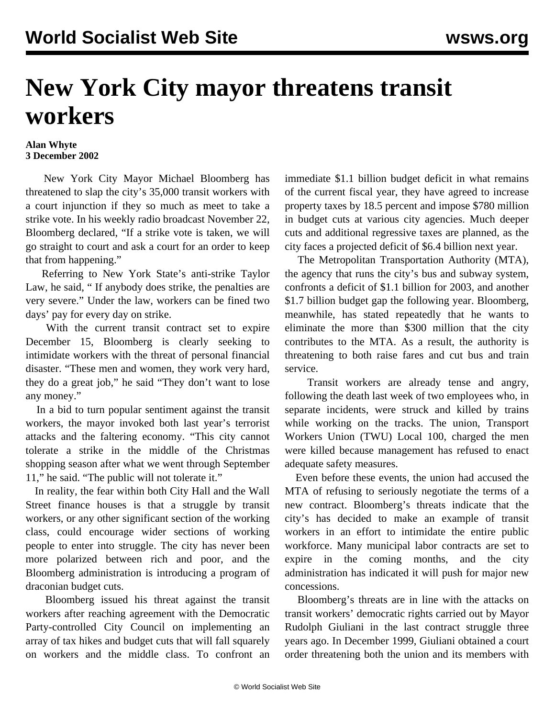## **New York City mayor threatens transit workers**

## **Alan Whyte 3 December 2002**

 New York City Mayor Michael Bloomberg has threatened to slap the city's 35,000 transit workers with a court injunction if they so much as meet to take a strike vote. In his weekly radio broadcast November 22, Bloomberg declared, "If a strike vote is taken, we will go straight to court and ask a court for an order to keep that from happening."

 Referring to New York State's anti-strike Taylor Law, he said, " If anybody does strike, the penalties are very severe." Under the law, workers can be fined two days' pay for every day on strike.

 With the current transit contract set to expire December 15, Bloomberg is clearly seeking to intimidate workers with the threat of personal financial disaster. "These men and women, they work very hard, they do a great job," he said "They don't want to lose any money."

 In a bid to turn popular sentiment against the transit workers, the mayor invoked both last year's terrorist attacks and the faltering economy. "This city cannot tolerate a strike in the middle of the Christmas shopping season after what we went through September 11," he said. "The public will not tolerate it."

 In reality, the fear within both City Hall and the Wall Street finance houses is that a struggle by transit workers, or any other significant section of the working class, could encourage wider sections of working people to enter into struggle. The city has never been more polarized between rich and poor, and the Bloomberg administration is introducing a program of draconian budget cuts.

 Bloomberg issued his threat against the transit workers after reaching agreement with the Democratic Party-controlled City Council on implementing an array of tax hikes and budget cuts that will fall squarely on workers and the middle class. To confront an

immediate \$1.1 billion budget deficit in what remains of the current fiscal year, they have agreed to increase property taxes by 18.5 percent and impose \$780 million in budget cuts at various city agencies. Much deeper cuts and additional regressive taxes are planned, as the city faces a projected deficit of \$6.4 billion next year.

 The Metropolitan Transportation Authority (MTA), the agency that runs the city's bus and subway system, confronts a deficit of \$1.1 billion for 2003, and another \$1.7 billion budget gap the following year. Bloomberg, meanwhile, has stated repeatedly that he wants to eliminate the more than \$300 million that the city contributes to the MTA. As a result, the authority is threatening to both raise fares and cut bus and train service.

 Transit workers are already tense and angry, following the death last week of two employees who, in separate incidents, were struck and killed by trains while working on the tracks. The union, Transport Workers Union (TWU) Local 100, charged the men were killed because management has refused to enact adequate safety measures.

 Even before these events, the union had accused the MTA of refusing to seriously negotiate the terms of a new contract. Bloomberg's threats indicate that the city's has decided to make an example of transit workers in an effort to intimidate the entire public workforce. Many municipal labor contracts are set to expire in the coming months, and the city administration has indicated it will push for major new concessions.

 Bloomberg's threats are in line with the attacks on transit workers' democratic rights carried out by Mayor Rudolph Giuliani in the last contract struggle three years ago. In December 1999, Giuliani obtained a court order threatening both the union and its members with